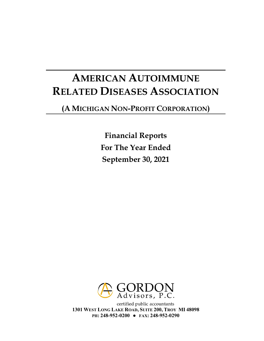# **AMERICAN AUTOIMMUNE RELATED DISEASES ASSOCIATION**

# **(A MICHIGAN NON-PROFIT CORPORATION)**

**Financial Reports For The Year Ended September 30, 2021**



certified public accountants **1301 WEST LONG LAKE ROAD, SUITE 200, TROY MI 48098 PH: 248-952-0200 ● FAX: 248-952-0290**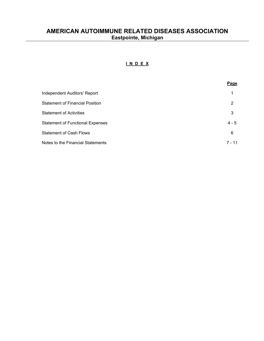## **I N D E X**

|                                         | Page     |
|-----------------------------------------|----------|
| Independent Auditors' Report            | 1        |
| <b>Statement of Financial Position</b>  | 2        |
| <b>Statement of Activities</b>          | 3        |
| <b>Statement of Functional Expenses</b> | $4 - 5$  |
| <b>Statement of Cash Flows</b>          | 6        |
| Notes to the Financial Statements       | $7 - 11$ |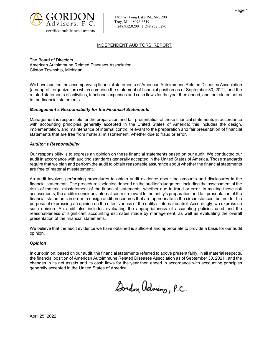

1301 W. Long Lake Rd., Ste. 200 Troy, MI 48098-6319 t 248.952.0200 f 248.952.0290

#### INDEPENDENT AUDITORS' REPORT

The Board of Directors American Autoimmune Related Diseases Association Clinton Township, Michigan

We have audited the accompanying financial statements of American Autoimmune Related Diseases Association (a nonprofit organization) which comprise the statement of financial position as of September 30, 2021, and the related statements of activities, functional expenses and cash flows for the year then ended, and the related notes to the financial statements.

#### *Management's Responsibility for the Financial Statements*

Management is responsible for the preparation and fair presentation of these financial statements in accordance with accounting principles generally accepted in the United States of America; this includes the design, implementation, and maintenance of internal control relevant to the preparation and fair presentation of financial statements that are free from material misstatement, whether due to fraud or error.

#### *Auditor's Responsibility*

Our responsibility is to express an opinion on these financial statements based on our audit. We conducted our audit in accordance with auditing standards generally accepted in the United States of America. Those standards require that we plan and perform the audit to obtain reasonable assurance about whether the financial statements are free of material misstatement.

An audit involves performing procedures to obtain audit evidence about the amounts and disclosures in the financial statements. The procedures selected depend on the auditor's judgment, including the assessment of the risks of material misstatement of the financial statements, whether due to fraud or error. In making those risk assessments, the auditor considers internal control relevant to the entity's preparation and fair presentation of the financial statements in order to design audit procedures that are appropriate in the circumstances, but not for the purpose of expressing an opinion on the effectiveness of the entity's internal control. Accordingly, we express no such opinion. An audit also includes evaluating the appropriateness of accounting policies used and the reasonableness of significant accounting estimates made by management, as well as evaluating the overall presentation of the financial statements.

We believe that the audit evidence we have obtained is sufficient and appropriate to provide a basis for our audit opinion.

#### *Opinion*

In our opinion, based on our audit, the financial statements referred to above present fairly, in all material respects, the financial position of American Autoimmune Related Diseases Association as of September 30, 2021 , and the changes in its net assets and its cash flows for the year then ended in accordance with accounting principles generally accepted in the United States of America.

Gordon Advisors, P.C.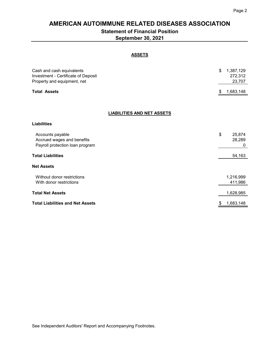## **AMERICAN AUTOIMMUNE RELATED DISEASES ASSOCIATION**

## **Statement of Financial Position**

**September 30, 2021**

#### **ASSETS**

| Cash and cash equivalents<br>Investment - Certificate of Deposit<br>Property and equipment, net | \$<br>1,387,129<br>272,312<br>23,707 |
|-------------------------------------------------------------------------------------------------|--------------------------------------|
| <b>Total Assets</b>                                                                             | \$<br>1,683,148                      |
|                                                                                                 |                                      |
| <b>LIABILITIES AND NET ASSETS</b>                                                               |                                      |
| <b>Liabilities</b>                                                                              |                                      |
| Accounts payable<br>Accrued wages and benefits<br>Payroll protection loan program               | \$<br>25,874<br>28,289<br>0          |
| <b>Total Liabilities</b>                                                                        | 54,163                               |
| <b>Net Assets</b>                                                                               |                                      |
| Without donor restrictions<br>With donor restrictions                                           | 1,216,999<br>411,986                 |
| <b>Total Net Assets</b>                                                                         | 1,628,985                            |
| <b>Total Liabilities and Net Assets</b>                                                         | \$<br>1,683,148                      |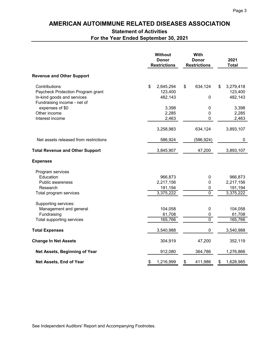# **AMERICAN AUTOIMMUNE RELATED DISEASES ASSOCIATION**

## **Statement of Activities**

**For the Year Ended September 30, 2021**

|                                                           | <b>Without</b><br><b>Donor</b><br><b>Restrictions</b> |                      | With<br><b>Donor</b><br><b>Restrictions</b> |                | 2021<br><b>Total</b> |                      |
|-----------------------------------------------------------|-------------------------------------------------------|----------------------|---------------------------------------------|----------------|----------------------|----------------------|
| <b>Revenue and Other Support</b>                          |                                                       |                      |                                             |                |                      |                      |
| Contributions<br>Paycheck Protection Program grant        | \$                                                    | 2,645,294<br>123,400 | \$                                          | 634,124        | \$                   | 3,279,418<br>123,400 |
| In-kind goods and services<br>Fundraising income - net of |                                                       | 482,143              |                                             | 0              |                      | 482,143              |
| expenses of \$0                                           |                                                       | 3,398                |                                             | 0              |                      | 3,398                |
| Other income                                              |                                                       | 2,285                |                                             | $\pmb{0}$      |                      | 2,285                |
| Interest income                                           |                                                       | 2,463                |                                             | 0              |                      | 2,463                |
|                                                           |                                                       | 3,258,983            |                                             | 634,124        |                      | 3,893,107            |
| Net assets released from restrictions                     |                                                       | 586,924              |                                             | (586, 924)     |                      | 0                    |
| <b>Total Revenue and Other Support</b>                    |                                                       | 3,845,907            |                                             | 47,200         |                      | 3,893,107            |
| <b>Expenses</b>                                           |                                                       |                      |                                             |                |                      |                      |
| Program services                                          |                                                       |                      |                                             |                |                      |                      |
| Education                                                 |                                                       | 966,873              |                                             | $\mathbf 0$    |                      | 966,873              |
| Public awareness                                          |                                                       | 2,217,156            |                                             | $\mathbf 0$    |                      | 2,217,156            |
| Research                                                  |                                                       | 191,194              |                                             | $\pmb{0}$      |                      | 191,194              |
| Total program services                                    |                                                       | 3,375,222            |                                             | $\overline{0}$ |                      | 3,375,222            |
| Supporting services:                                      |                                                       |                      |                                             |                |                      |                      |
| Management and general                                    |                                                       | 104,058              |                                             | 0              |                      | 104,058              |
| Fundraising                                               |                                                       | 61,708               |                                             | 0              |                      | 61,708               |
| Total supporting services                                 |                                                       | 165,766              |                                             | $\overline{0}$ |                      | 165,766              |
| <b>Total Expenses</b>                                     |                                                       | 3,540,988            |                                             | $\mathbf 0$    |                      | 3,540,988            |
| <b>Change In Net Assets</b>                               |                                                       | 304,919              |                                             | 47,200         |                      | 352,119              |
| Net Assets, Beginning of Year                             |                                                       | 912,080              |                                             | 364,786        |                      | 1,276,866            |
| Net Assets, End of Year                                   | \$                                                    | 1,216,999            | \$                                          | 411,986        | \$                   | 1,628,985            |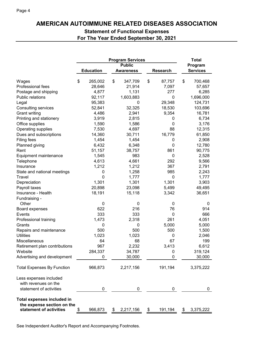## **AMERICAN AUTOIMMUNE RELATED DISEASES ASSOCIATION**

## **Statement of Functional Expenses For The Year Ended September 30, 2021**

|                                             | <b>Program Services</b> |                  |    |                  |    |                 | <b>Total</b> |                 |
|---------------------------------------------|-------------------------|------------------|----|------------------|----|-----------------|--------------|-----------------|
|                                             | <b>Public</b>           |                  |    | Program          |    |                 |              |                 |
|                                             |                         | <b>Education</b> |    | <b>Awareness</b> |    | <b>Research</b> |              | <b>Services</b> |
| Wages                                       | \$                      | 265,002          | \$ | 347,709          | \$ | 87,757          | \$           | 700,468         |
| Professional fees                           |                         | 28,646           |    | 21,914           |    | 7,097           |              | 57,657          |
| Postage and shipping                        |                         | 4,877            |    | 1,131            |    | 277             |              | 6,285           |
| Public relations                            |                         | 92,117           |    | 1,603,883        |    | 0               |              | 1,696,000       |
| Legal                                       |                         | 95,383           |    | 0                |    | 29,348          |              | 124,731         |
| <b>Consulting services</b>                  |                         | 52,841           |    | 32,325           |    | 18,530          |              | 103,696         |
| <b>Grant writing</b>                        |                         | 4,486            |    | 2,941            |    | 9,354           |              | 16,781          |
| Printing and stationery                     |                         | 3,919            |    | 2,815            |    | 0               |              | 6,734           |
| Office supplies                             |                         | 1,590            |    | 1,586            |    | 0               |              | 3,176           |
| Operating supplies                          |                         | 7,530            |    | 4,697            |    | 88              |              | 12,315          |
| Dues and subscriptions                      |                         | 14,360           |    | 30,711           |    | 16,779          |              | 61,850          |
| Filing fees                                 |                         | 1,454            |    | 1,454            |    | 0               |              | 2,908           |
| Planned giving                              |                         | 6,432            |    | 6,348            |    | 0               |              | 12,780          |
| Rent                                        |                         | 51,157           |    | 38,757           |    | 861             |              | 90,775          |
| Equipment maintenance                       |                         | 1,545            |    | 983              |    | 0               |              | 2,528           |
| Telephone                                   |                         | 4,613            |    | 4,661            |    | 292             |              | 9,566           |
| Insurance                                   |                         | 1,212            |    | 1,212            |    | 367             |              | 2,791           |
| State and national meetings                 |                         | 0                |    | 1,258            |    | 985             |              | 2,243           |
| Travel                                      |                         | 0                |    | 1,777            |    | 0               |              | 1,777           |
| Depreciation                                |                         | 1,301            |    | 1,301            |    | 1,301           |              | 3,903           |
| Payroll taxes                               |                         | 20,898           |    | 23,098           |    | 5,499           |              | 49,495          |
| Insurance - Health                          |                         | 18,191           |    | 15,118           |    | 3,342           |              | 36,651          |
|                                             |                         |                  |    |                  |    |                 |              |                 |
| Fundraising -<br>Other                      |                         | 0                |    | 0                |    | 0               |              | 0               |
|                                             |                         | 622              |    | 216              |    | 76              |              | 914             |
| Board expenses                              |                         | 333              |    | 333              |    | 0               |              | 666             |
| Events                                      |                         | 1,473            |    |                  |    | 261             |              |                 |
| Professional training                       |                         | 0                |    | 2,318            |    | 5,000           |              | 4,051<br>5,000  |
| Grants                                      |                         | 500              |    | 0<br>500         |    | 500             |              | 1,500           |
| Repairs and maintenance<br><b>Utilities</b> |                         | 1,023            |    | 1,023            |    | 0               |              | 2,046           |
| Miscellaneous                               |                         | 64               |    | 68               |    | 67              |              | 199             |
| Retirement plan contributions               |                         | 967              |    | 2,232            |    | 3,413           |              | 6,612           |
| Website                                     |                         | 284,337          |    | 34,787           |    | 0               |              | 319,124         |
|                                             |                         |                  |    |                  |    | 0               |              |                 |
| Advertising and development                 |                         | 0                |    | 30,000           |    |                 |              | 30,000          |
| <b>Total Expenses By Function</b>           |                         | 966,873          |    | 2,217,156        |    | 191,194         |              | 3,375,222       |
| Less expenses included                      |                         |                  |    |                  |    |                 |              |                 |
| with revenues on the                        |                         |                  |    |                  |    |                 |              |                 |
| statement of activities                     |                         | 0                |    | 0                |    | 0               |              | 0               |
| <b>Total expenses included in</b>           |                         |                  |    |                  |    |                 |              |                 |
| the expense section on the                  |                         |                  |    |                  |    |                 |              |                 |
| statement of activities                     | \$                      | 966,873          | \$ | 2,217,156        | \$ | 191,194         | \$           | 3,375,222       |

See Independent Auditor's Report and Accompanying Footnotes.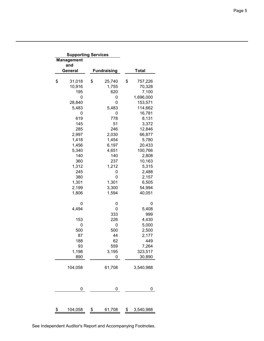| <b>Supporting Services</b> |                    |                 |
|----------------------------|--------------------|-----------------|
| <b>Management</b>          |                    |                 |
| and                        |                    |                 |
| General                    | <b>Fundraising</b> | <b>Total</b>    |
|                            |                    |                 |
| \$<br>31,018               | \$<br>25,740       | \$<br>757,226   |
| 10,916                     | 1,755              | 70,328          |
| 195                        | 620                | 7,100           |
| 0                          | 0                  | 1,696,000       |
| 28,840                     | 0                  | 153,571         |
| 5,483                      | 5,483              | 114,662         |
| 0                          | 0                  | 16,781          |
| 619                        | 778                | 8,131           |
| 145                        | 51                 | 3,372           |
| 285                        | 246                | 12,846          |
| 2,997                      | 2,030              | 66,877          |
| 1,418                      | 1,454              | 5,780           |
| 1,456                      | 6,197              | 20,433          |
| 5,340                      | 4,651              | 100,766         |
| 140                        | 140                | 2,808           |
| 360                        | 237                | 10,163          |
| 1,312                      | 1,212              | 5,315           |
| 245                        | 0                  | 2,488           |
| 380                        | 0                  | 2,157           |
| 1,301                      | 1,301              | 6,505           |
| 2,199                      | 3,300              | 54,994          |
| 1,806                      | 1,594              | 40,051          |
| 0                          | 0                  | 0               |
| 4,494                      | 0                  | 5,408           |
|                            | 333                | 999             |
| 153                        | 226                | 4,430           |
| 0                          | 0                  | 5,000           |
| 500                        | 500                | 2,500           |
| 87                         | 44                 | 2,177           |
| 188                        | 62                 | 449             |
| 93                         | 559                | 7,264           |
| 1,198                      | 3,195              | 323,517         |
| 890                        | 0                  | 30,890          |
| 104,058                    | 61,708             | 3,540,988       |
| 0                          | 0                  | 0               |
|                            |                    |                 |
| \$<br>104,058              | \$<br>61,708       | \$<br>3,540,988 |

See Independent Auditor's Report and Accompanying Footnotes.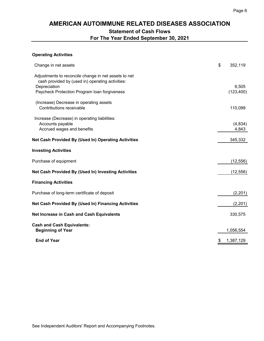## **AMERICAN AUTOIMMUNE RELATED DISEASES ASSOCIATION Statement of Cash Flows For The Year Ended September 30, 2021**

#### **Operating Activities**

| Change in net assets                                                                                                                                                     | \$<br>352,119       |
|--------------------------------------------------------------------------------------------------------------------------------------------------------------------------|---------------------|
| Adjustments to reconcile change in net assets to net<br>cash provided by (used in) operating activities:<br>Depreciation<br>Paycheck Protection Program loan forgiveness | 6,505<br>(123, 400) |
| (Increase) Decrease in operating assets<br>Contributions receivable                                                                                                      | 110,099             |
| Increase (Decrease) in operating liabilities:<br>Accounts payable<br>Accrued wages and benefits                                                                          | (4,834)<br>4,843    |
| Net Cash Provided By (Used In) Operating Activities                                                                                                                      | 345,332             |
| <b>Investing Activities</b>                                                                                                                                              |                     |
| Purchase of equipment                                                                                                                                                    | (12, 556)           |
| Net Cash Provided By (Used In) Investing Activities                                                                                                                      | (12, 556)           |
| <b>Financing Activities</b>                                                                                                                                              |                     |
| Purchase of long-term certificate of deposit                                                                                                                             | (2,201)             |
| Net Cash Provided By (Used In) Financing Activities                                                                                                                      | (2,201)             |
| Net Increase in Cash and Cash Equivalents                                                                                                                                | 330,575             |
| <b>Cash and Cash Equivalents:</b><br><b>Beginning of Year</b>                                                                                                            | 1,056,554           |
| <b>End of Year</b>                                                                                                                                                       | \$<br>1,387,129     |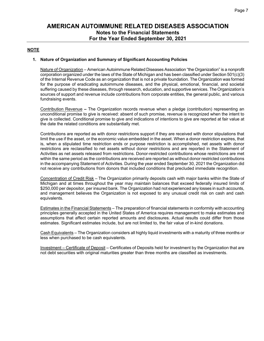#### **NOTE**

#### **1. Nature of Organization and Summary of Significant Accounting Policies**

Nature of Organization – American Autoimmune Related Diseases Association "the Organization" is a nonprofit corporation organized under the laws of the State of Michigan and has been classified under Section 501(c)(3) of the Internal Revenue Code as an organization that is not a private foundation. The Organization was formed for the purpose of eradicating autoimmune diseases, and the physical, emotional, financial, and societal suffering caused by these diseases, through research, education, and supportive services. The Organization's sources of support and revenue include contributions from corporate entities, the general public, and various fundraising events.

Contribution Revenue **–** The Organization records revenue when a pledge (contribution) representing an unconditional promise to give is received: absent of such promise, revenue is recognized when the intent to give is collected. Conditional promise to give and indications of intentions to give are reported at fair value at the date the related conditions are substantially met.

Contributions are reported as with donor restrictions support if they are received with donor stipulations that limit the use if the asset, or the economic value embedded in the asset. When a donor restriction expires, that is, when a stipulated time restriction ends or purpose restriction is accomplished, net assets with donor restrictions are reclassified to net assets without donor restrictions and are reported in the Statement of Activities as net assets released from restrictions. Donor-restricted contributions whose restrictions are met within the same period as the contributions are received are reported as without donor restricted contributions in the accompanying Statement of Activities. During the year ended September 30, 2021 the Organization did not receive any contributions from donors that included conditions that precluded immediate recognition.

Concentration of Credit Risk – The Organization primarily deposits cash with major banks within the State of Michigan and at times throughout the year may maintain balances that exceed federally insured limits of \$250,000 per depositor, per insured bank. The Organization had not experienced any losses in such accounts, and management believes the Organization is not exposed to any unusual credit risk on cash and cash equivalents.

Estimates in the Financial Statements – The preparation of financial statements in conformity with accounting principles generally accepted in the United States of America requires management to make estimates and assumptions that affect certain reported amounts and disclosures. Actual results could differ from those estimates. Significant estimates include, but are not limited to, the fair value of in-kind donations.

Cash Equivalents – The Organization considers all highly liquid investments with a maturity of three months or less when purchased to be cash equivalents.

Investment – Certificate of Deposit – Certificates of Deposits held for investment by the Organization that are not debt securities with original maturities greater than three months are classified as investments.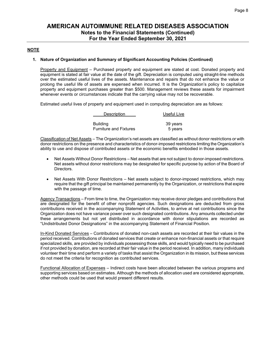#### **NOTE**

#### **1. Nature of Organization and Summary of Significant Accounting Policies (Continued)**

Property and Equipment – Purchased property and equipment are stated at cost. Donated property and equipment is stated at fair value at the date of the gift. Depreciation is computed using straight-line methods over the estimated useful lives of the assets. Maintenance and repairs that do not enhance the value or prolong the useful life of assets are expensed when incurred. It is the Organization's policy to capitalize property and equipment purchases greater than \$500. Management reviews these assets for impairment whenever events or circumstances indicate that the carrying value may not be recoverable.

Estimated useful lives of property and equipment used in computing depreciation are as follows:

| Description                   | Useful Live |
|-------------------------------|-------------|
| <b>Building</b>               | 39 years    |
| <b>Furniture and Fixtures</b> | 5 years     |

Classification of Net Assets – The Organization's net assets are classified as without donor restrictions or with donor restrictions on the presence and characteristics of donor-imposed restrictions limiting the Organization's ability to use and dispose of contributed assets or the economic benefits embodied in those assets.

- Net Assets Without Donor Restrictions Net assets that are not subject to donor-imposed restrictions. Net assets without donor restrictions may be designated for specific purpose by action of the Board of Directors.
- Net Assets With Donor Restrictions Net assets subject to donor-imposed restrictions, which may require that the gift principal be maintained permanently by the Organization, or restrictions that expire with the passage of time.

Agency Transactions – From time to time, the Organization may receive donor pledges and contributions that are designated for the benefit of other nonprofit agencies. Such designations are deducted from gross contributions received in the accompanying Statement of Activities, to arrive at net contributions since the Organization does not have variance power over such designated contributions. Any amounts collected under these arrangements but not yet distributed in accordance with donor stipulations are recorded as "Undistributed Donor Designations" in the accompanying Statement of Financial Position.

In-Kind Donated Services – Contributions of donated non-cash assets are recorded at their fair values in the period received. Contributions of donated services that create or enhance non-financial assets or that require specialized skills, are provided by individuals possessing those skills, and would typically need to be purchased if not provided by donation, are recorded at their fair value in the period received. In addition, many individuals volunteer their time and perform a variety of tasks that assist the Organization in its mission, but these services do not meet the criteria for recognition as contributed services.

Functional Allocation of Expenses – Indirect costs have been allocated between the various programs and supporting services based on estimates. Although the methods of allocation used are considered appropriate, other methods could be used that would present different results.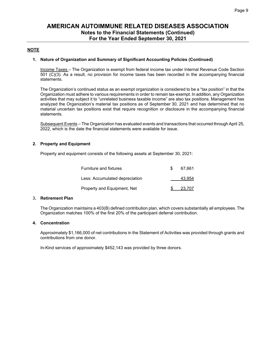#### **NOTE**

#### **1. Nature of Organization and Summary of Significant Accounting Policies (Continued)**

Income Taxes – The Organization is exempt from federal income tax under Internal Revenue Code Section 501 (C)(3). As a result, no provision for income taxes has been recorded in the accompanying financial statements.

The Organization's continued status as an exempt organization is considered to be a "tax position" in that the Organization must adhere to various requirements in order to remain tax-exempt. In addition, any Organization activities that may subject it to "unrelated business taxable income" are also tax positions. Management has analyzed the Organization's material tax positions as of September 30, 2021 and has determined that no material uncertain tax positions exist that require recognition or disclosure in the accompanying financial statements.

Subsequent Events – The Organization has evaluated events and transactions that occurred through April 25, 2022, which is the date the financial statements were available for issue.

#### **2. Property and Equipment**

Property and equipment consists of the following assets at September 30, 2021:

| Furniture and fixtures         | 67.661 |
|--------------------------------|--------|
| Less: Accumulated depreciation | 43.954 |
| Property and Equipment, Net    | 23.707 |

#### 3**. Retirement Plan**

The Organization maintains a 403(B) defined contribution plan, which covers substantially all employees. The Organization matches 100% of the first 20% of the participant deferral contribution.

#### **4. Concentration**

Approximately \$1,166,000 of net contributions in the Statement of Activities was provided through grants and contributions from one donor.

In-Kind services of approximately \$452,143 was provided by three donors.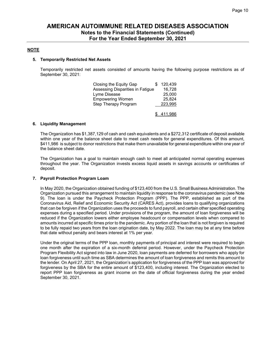#### **NOTE**

#### **5. Temporarily Restricted Net Assets**

Temporarily restricted net assets consisted of amounts having the following purpose restrictions as of September 30, 2021:

| Closing the Equity Gap           | 120,439   |
|----------------------------------|-----------|
| Assessing Disparities in Fatigue | 16,728    |
| Lyme Disease                     | 25,000    |
| <b>Empowering Women</b>          | 25,824    |
| Step Therapy Program             | 223,995   |
|                                  |           |
|                                  | \$411,986 |

#### **6. Liquidity Management**

The Organization has \$1,387,129 of cash and cash equivalents and a \$272,312 certificate of deposit available within one year of the balance sheet date to meet cash needs for general expenditures. Of this amount, \$411,986 is subject to donor restrictions that make them unavailable for general expenditure within one year of the balance sheet date.

The Organization has a goal to maintain enough cash to meet all anticipated normal operating expenses throughout the year. The Organization invests excess liquid assets in savings accounts or certificates of deposit.

#### **7. Payroll Protection Program Loam**

In May 2020, the Organization obtained funding of \$123,400 from the U.S. Small Business Administration. The Organization pursued this arrangement to maintain liquidity in response to the coronavirus pandemic (see Note 9). The loan is under the Paycheck Protection Program (PPP). The PPP, established as part of the Coronavirus Aid, Relief and Economic Security Act (CARES Act), provides loans to qualifying organizations that can be forgiven if the Organization uses the proceeds to fund payroll, and certain other specified operating expenses during a specified period. Under provisions of the program, the amount of loan forgiveness will be reduced if the Organization lowers either employee headcount or compensation levels when compared to amounts incurred at specific times prior to the pandemic. Any portion of the loan that is not forgiven is required to be fully repaid two years from the loan origination date, by May 2022. The loan may be at any time before that date without penalty and bears interest at 1% per year.

Under the original terms of the PPP loan, monthly payments of principal and interest were required to begin one month after the expiration of a six-month deferral period. However, under the Paycheck Protection Program Flexibility Act signed into law in June 2020, loan payments are deferred for borrowers who apply for loan forgiveness until such time as SBA determines the amount of loan forgiveness and remits this amount to the lender. On April 27, 2021, the Organization's application for forgiveness of the PPP loan was approved for forgiveness by the SBA for the entire amount of \$123,400, including interest. The Organization elected to report PPP loan forgiveness as grant income on the date of official forgiveness during the year ended September 30, 2021.